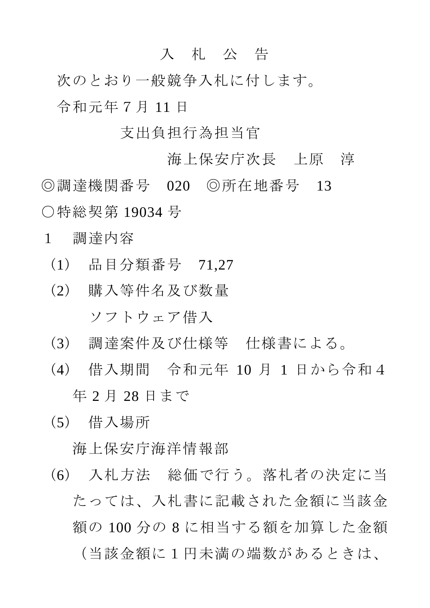## 入 札 公 告

次のとおり一般競争入札に付します。 令和元年7月 11 日

## 支出負担行為担当官

海上保安庁次長 上原 淳 ◎調達機関番号 020 ◎所在地番号 13 ○特総契第 19034 号

- 1 調達内容
	- (1) 品目分類番号 71,27
	- (2) 購入等件名及び数量 ソフトウェア借入
	- (3) 調達案件及び仕様等 仕様書による。
	- (4) 借入期間 令和元年 10 月 1 日から令和4 年 2 月 28 日まで
	- (5) 借入場所

海上保安庁海洋情報部

(6) 入札方法 総価で行う。落札者の決定に当 たっては、入札書に記載された金額に当該金 額の 100 分の 8 に相当する額を加算した金額 (当該金額に1円未満の端数があるときは、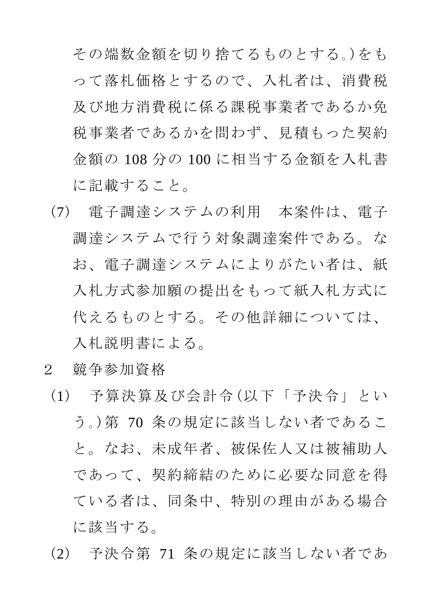その端数金額を切り捨てるものとする。)をも って落札価格とするので、入札者は、消費税 及び地方消費税に係る課税事業者であるか免 税事業者であるかを問わず、見積もった契約 金額の 108 分の 100 に相当する金額を入札書 に記載すること。

- (7) 電子調達システムの利用 本案件は、電子 調達システムで行う対象調達案件である。な お、電子調達システムによりがたい者は、紙 入札方式参加願の提出をもって紙入札方式に 代えるものとする。その他詳細については、 入札説明書による。
- 2 競争参加資格
- (1) 予算決算及び会計令(以下「予決令」とい う。)第 70 条の規定に該当しない者であるこ と。なお、未成年者、被保佐人又は被補助人 であって、契約締結のために必要な同意を得 ている者は、同条中、特別の理由がある場合 に該当する。
- (2) 予決令第 71 条の規定に該当しない者であ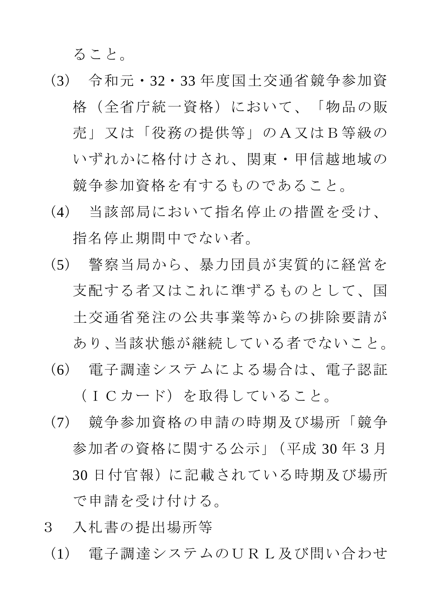ること。

- (3) 令和元・32・33 年度国土交通省競争参加資 格(全省庁統一資格)において、「物品の販 売」又は「役務の提供等」のA又はB等級の いずれかに格付けされ、関東・甲信越地域の 競争参加資格を有するものであること。
- (4) 当該部局において指名停止の措置を受け、 指名停止期間中でない者。
- (5) 警察当局から、暴力団員が実質的に経営を 支配する者又はこれに準ずるものとして、国 土交通省発注の公共事業等からの排除要請が あり、当該状態が継続している者でないこと。
- (6) 電子調達システムによる場合は、電子認証

(ICカード)を取得していること。

- (7) 競争参加資格の申請の時期及び場所「競争 参加者の資格に関する公示」(平成 30 年3月 30 日付官報)に記載されている時期及び場所 で申請を受け付ける。
- 3 入札書の提出場所等
	- (1) 電子調達システムのURL及び問い合わせ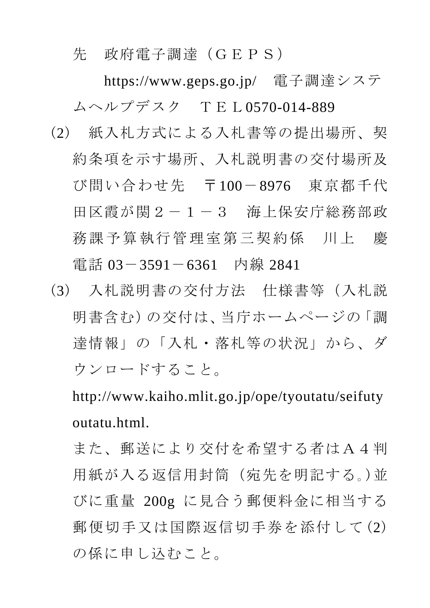先 政府電子調達(GEPS)

 https://www.geps.go.jp/ 電子調達システ ムヘルプデスク TEL0570-014-889

- (2) 紙入札方式による入札書等の提出場所、契 約条項を示す場所、入札説明書の交付場所及 び問い合わせ先 〒100-8976 東京都千代 田区霞が関2-1-3 海上保安庁総務部政 務課予算執行管理室第三契約係 川上 慶 電話 03-3591-6361 内線 2841
- (3) 入札説明書の交付方法 仕様書等(入札説 明書含む)の交付は、当庁ホームページの「調 達情報」の「入札・落札等の状況」から、ダ ウンロードすること。

http://www.kaiho.mlit.go.jp/ope/tyoutatu/seifuty outatu.html.

また、郵送により交付を希望する者はA4判 用紙が入る返信用封筒(宛先を明記する。)並 びに重量 200g に見合う郵便料金に相当する 郵便切手又は国際返信切手券を添付して(2) の係に申し込むこと。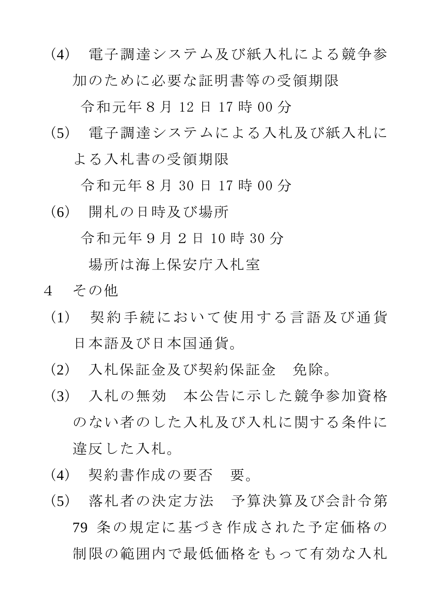(4) 電子調達システム及び紙入札による競争参 加のために必要な証明書等の受領期限

令和元年8月 12 日 17 時 00 分

(5) 電子調達システムによる入札及び紙入札に よる入札書の受領期限

令和元年8月 30 日 17 時 00 分

(6) 開札の日時及び場所

令和元年9月2日 10 時 30 分

場所は海上保安庁入札室

- 4 その他
	- (1) 契約手続において使用する言語及び通貨 日本語及び日本国通貨。
	- (2) 入札保証金及び契約保証金 免除。
	- (3) 入札の無効 本公告に示した競争参加資格 のない者のした入札及び入札に関する条件に 違反した入札。
	- (4) 契約書作成の要否 要。
	- (5) 落札者の決定方法 予算決算及び会計令第 79 条の規定に基づき作成された予定価格の 制限の範囲内で最低価格をもって有効な入札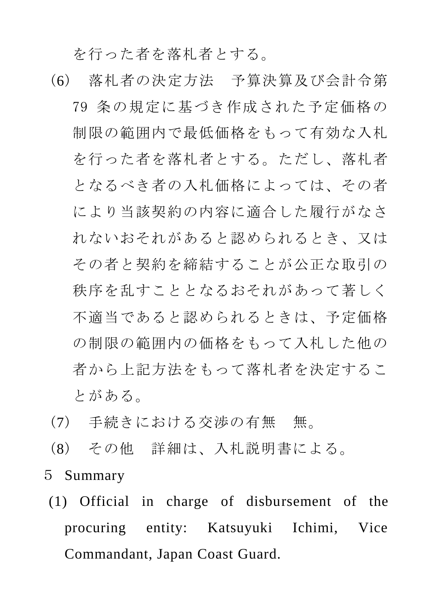を行った者を落札者とする。

- (6) 落札者の決定方法 予算決算及び会計令第 79 条の規定に基づき作成された予定価格の 制限の範囲内で最低価格をもって有効な入札 を行った者を落札者とする。ただし、落札者 となるべき者の入札価格によっては、その者 により当該契約の内容に適合した履行がなさ れないおそれがあると認められるとき、又は その者と契約を締結することが公正な取引の 秩序を乱すこととなるおそれがあって著しく 不適当であると認められるときは、予定価格 の制限の範囲内の価格をもって入札した他の 者から上記方法をもって落札者を決定するこ とがある。
- (7) 手続きにおける交渉の有無 無。
- (8) その他 詳細は、入札説明書による。
- 5 Summary
- (1) Official in charge of disbursement of the procuring entity: Katsuyuki Ichimi, Vice Commandant, Japan Coast Guard.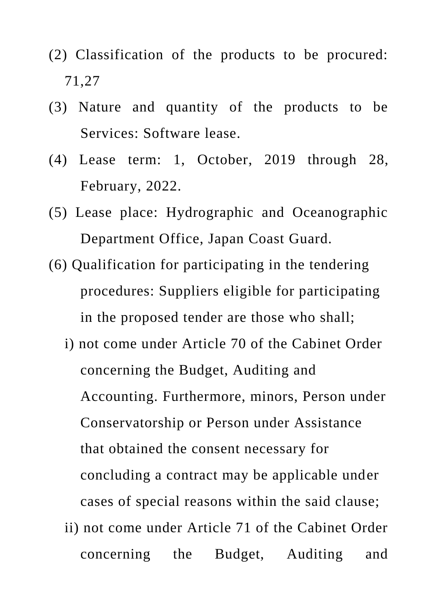- (2) Classification of the products to be procured: 71,27
- (3) Nature and quantity of the products to be Services: Software lease.
- (4) Lease term: 1, October, 2019 through 28, February, 2022.
- (5) Lease place: Hydrographic and Oceanographic Department Office, Japan Coast Guard.
- (6) Qualification for participating in the tendering procedures: Suppliers eligible for participating in the proposed tender are those who shall;
	- i) not come under Article 70 of the Cabinet Order concerning the Budget, Auditing and Accounting. Furthermore, minors, Person under Conservatorship or Person under Assistance that obtained the consent necessary for concluding a contract may be applicable under cases of special reasons within the said clause; ii) not come under Article 71 of the Cabinet Order concerning the Budget, Auditing and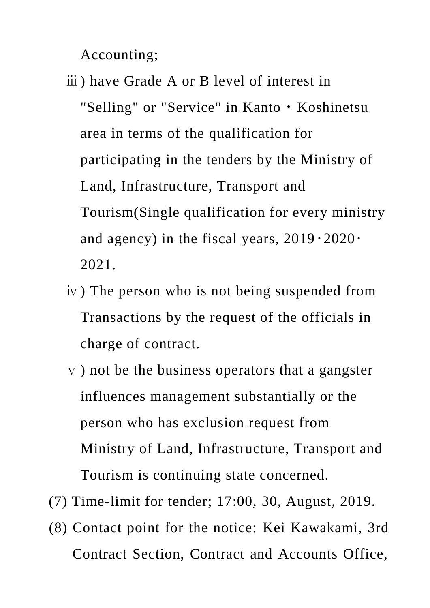Accounting;

- ⅲ) have Grade A or B level of interest in "Selling" or "Service" in Kanto・Koshinetsu area in terms of the qualification for participating in the tenders by the Ministry of Land, Infrastructure, Transport and Tourism(Single qualification for every ministry and agency) in the fiscal years,  $2019 \cdot 2020 \cdot$ 2021.
- ⅳ) The person who is not being suspended from Transactions by the request of the officials in charge of contract.
- ⅴ) not be the business operators that a gangster influences management substantially or the person who has exclusion request from Ministry of Land, Infrastructure, Transport and Tourism is continuing state concerned.
- (7) Time-limit for tender; 17:00, 30, August, 2019.
- (8) Contact point for the notice: Kei Kawakami, 3rd Contract Section, Contract and Accounts Office,